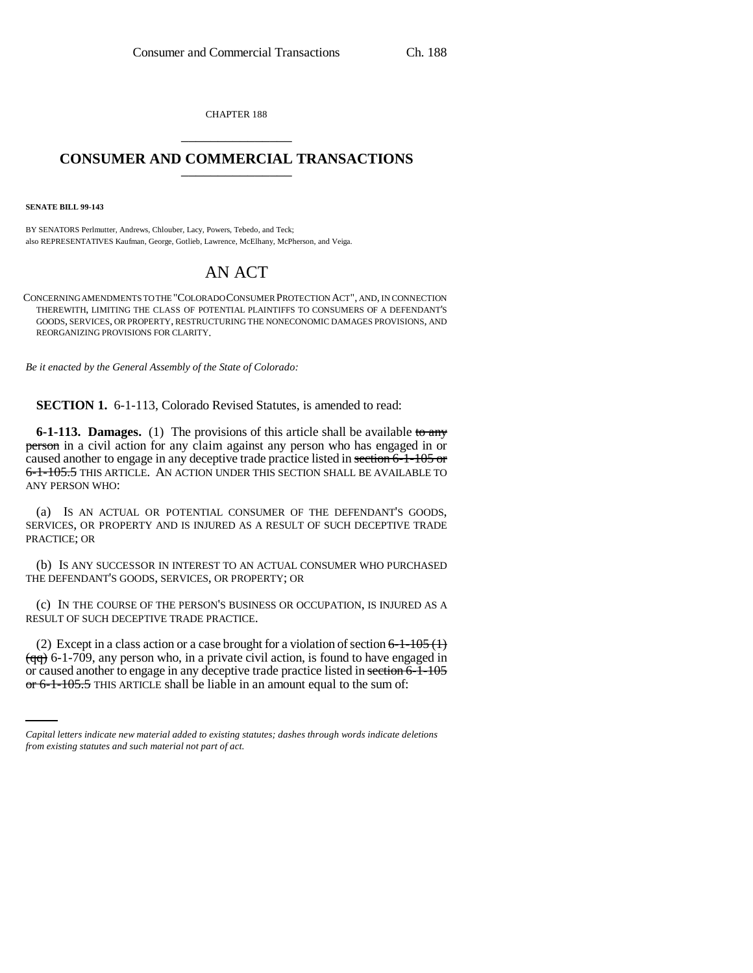CHAPTER 188 \_\_\_\_\_\_\_\_\_\_\_\_\_\_\_

## **CONSUMER AND COMMERCIAL TRANSACTIONS** \_\_\_\_\_\_\_\_\_\_\_\_\_\_\_

**SENATE BILL 99-143** 

BY SENATORS Perlmutter, Andrews, Chlouber, Lacy, Powers, Tebedo, and Teck; also REPRESENTATIVES Kaufman, George, Gotlieb, Lawrence, McElhany, McPherson, and Veiga.

# AN ACT

CONCERNING AMENDMENTS TO THE "COLORADO CONSUMER PROTECTION ACT", AND, IN CONNECTION THEREWITH, LIMITING THE CLASS OF POTENTIAL PLAINTIFFS TO CONSUMERS OF A DEFENDANT'S GOODS, SERVICES, OR PROPERTY, RESTRUCTURING THE NONECONOMIC DAMAGES PROVISIONS, AND REORGANIZING PROVISIONS FOR CLARITY.

*Be it enacted by the General Assembly of the State of Colorado:*

**SECTION 1.** 6-1-113, Colorado Revised Statutes, is amended to read:

**6-1-113. Damages.** (1) The provisions of this article shall be available to any person in a civil action for any claim against any person who has engaged in or caused another to engage in any deceptive trade practice listed in section 6-1-105 or 6-1-105.5 THIS ARTICLE. AN ACTION UNDER THIS SECTION SHALL BE AVAILABLE TO ANY PERSON WHO:

(a) IS AN ACTUAL OR POTENTIAL CONSUMER OF THE DEFENDANT'S GOODS, SERVICES, OR PROPERTY AND IS INJURED AS A RESULT OF SUCH DECEPTIVE TRADE PRACTICE; OR

(b) IS ANY SUCCESSOR IN INTEREST TO AN ACTUAL CONSUMER WHO PURCHASED THE DEFENDANT'S GOODS, SERVICES, OR PROPERTY; OR

(c) IN THE COURSE OF THE PERSON'S BUSINESS OR OCCUPATION, IS INJURED AS A RESULT OF SUCH DECEPTIVE TRADE PRACTICE.

 $\overline{q\overline{q}}$  6-1-709, any person who, in a private civil action, is found to have engaged in (2) Except in a class action or a case brought for a violation of section  $6-1-105$  (1) or caused another to engage in any deceptive trade practice listed in section 6-1-105 or 6-1-105.5 THIS ARTICLE shall be liable in an amount equal to the sum of:

*Capital letters indicate new material added to existing statutes; dashes through words indicate deletions from existing statutes and such material not part of act.*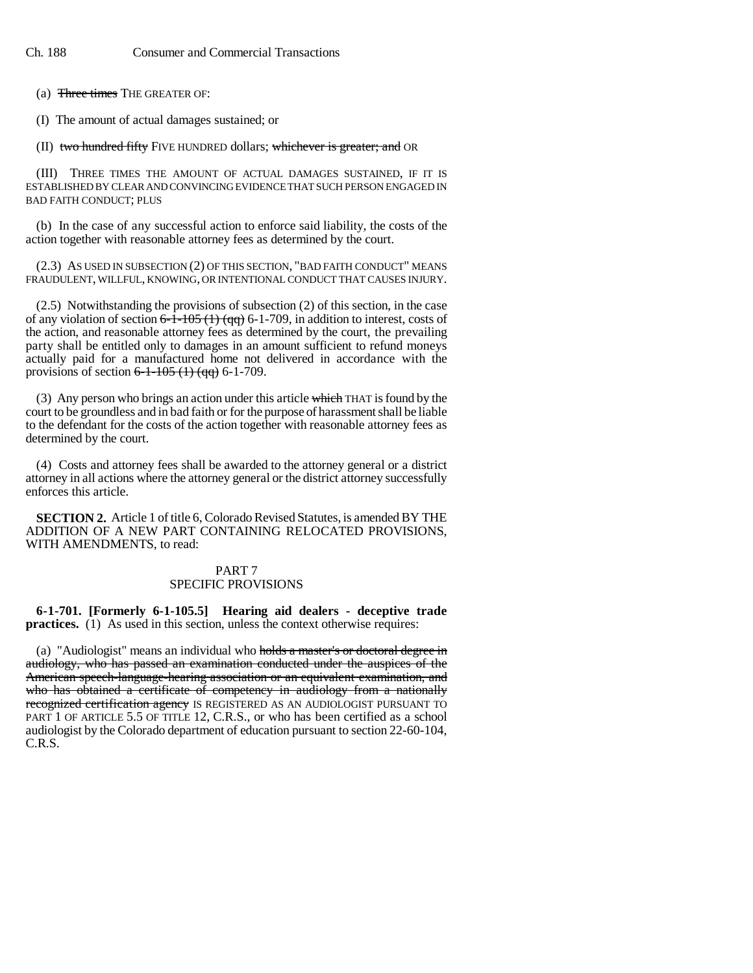(a) Three times THE GREATER OF:

(I) The amount of actual damages sustained; or

(II) two hundred fifty FIVE HUNDRED dollars; whichever is greater; and OR

(III) THREE TIMES THE AMOUNT OF ACTUAL DAMAGES SUSTAINED, IF IT IS ESTABLISHED BY CLEAR AND CONVINCING EVIDENCE THAT SUCH PERSON ENGAGED IN BAD FAITH CONDUCT; PLUS

(b) In the case of any successful action to enforce said liability, the costs of the action together with reasonable attorney fees as determined by the court.

(2.3) AS USED IN SUBSECTION (2) OF THIS SECTION, "BAD FAITH CONDUCT" MEANS FRAUDULENT, WILLFUL, KNOWING, OR INTENTIONAL CONDUCT THAT CAUSES INJURY.

(2.5) Notwithstanding the provisions of subsection (2) of this section, in the case of any violation of section  $6-\overline{1}-105$  (1) (qq) 6-1-709, in addition to interest, costs of the action, and reasonable attorney fees as determined by the court, the prevailing party shall be entitled only to damages in an amount sufficient to refund moneys actually paid for a manufactured home not delivered in accordance with the provisions of section  $6-1-105(1)(qq)$  6-1-709.

(3) Any person who brings an action under this article which THAT is found by the court to be groundless and in bad faith or for the purpose of harassment shall be liable to the defendant for the costs of the action together with reasonable attorney fees as determined by the court.

(4) Costs and attorney fees shall be awarded to the attorney general or a district attorney in all actions where the attorney general or the district attorney successfully enforces this article.

**SECTION 2.** Article 1 of title 6, Colorado Revised Statutes, is amended BY THE ADDITION OF A NEW PART CONTAINING RELOCATED PROVISIONS, WITH AMENDMENTS, to read:

### PART 7 SPECIFIC PROVISIONS

**6-1-701. [Formerly 6-1-105.5] Hearing aid dealers - deceptive trade practices.** (1) As used in this section, unless the context otherwise requires:

(a) "Audiologist" means an individual who holds a master's or doctoral degree in audiology, who has passed an examination conducted under the auspices of the American speech-language-hearing association or an equivalent examination, and who has obtained a certificate of competency in audiology from a nationally recognized certification agency IS REGISTERED AS AN AUDIOLOGIST PURSUANT TO PART 1 OF ARTICLE 5.5 OF TITLE 12, C.R.S., or who has been certified as a school audiologist by the Colorado department of education pursuant to section 22-60-104, C.R.S.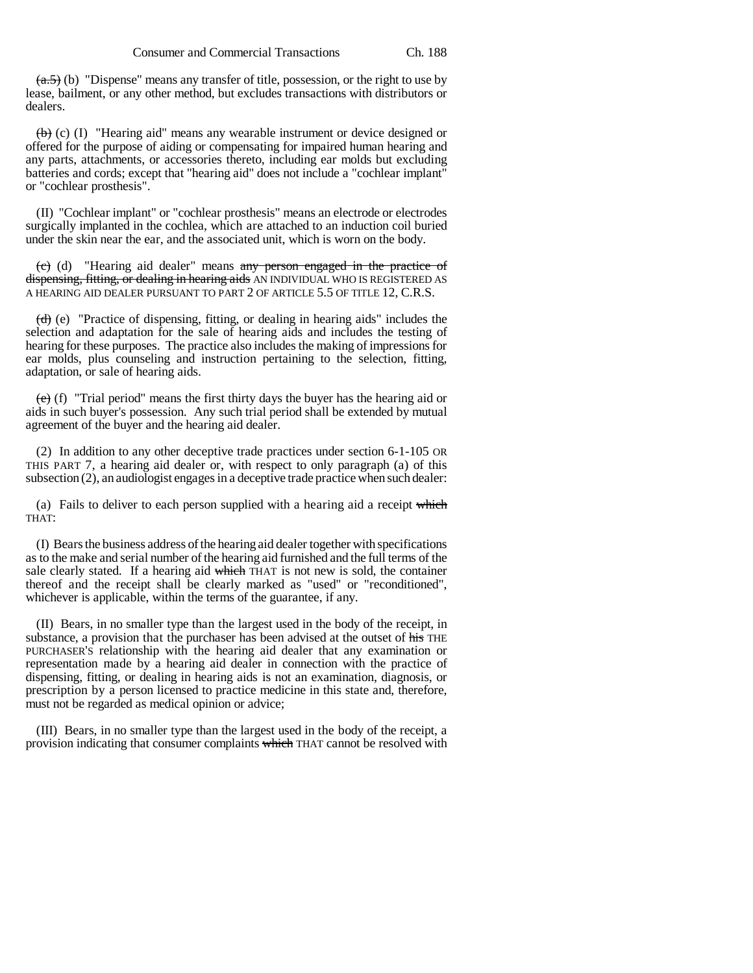$(a.5)$  (b) "Dispense" means any transfer of title, possession, or the right to use by lease, bailment, or any other method, but excludes transactions with distributors or dealers.

 $\leftrightarrow$  (c) (I) "Hearing aid" means any wearable instrument or device designed or offered for the purpose of aiding or compensating for impaired human hearing and any parts, attachments, or accessories thereto, including ear molds but excluding batteries and cords; except that "hearing aid" does not include a "cochlear implant" or "cochlear prosthesis".

(II) "Cochlear implant" or "cochlear prosthesis" means an electrode or electrodes surgically implanted in the cochlea, which are attached to an induction coil buried under the skin near the ear, and the associated unit, which is worn on the body.

(c) (d) "Hearing aid dealer" means any person engaged in the practice of dispensing, fitting, or dealing in hearing aids AN INDIVIDUAL WHO IS REGISTERED AS A HEARING AID DEALER PURSUANT TO PART 2 OF ARTICLE 5.5 OF TITLE 12, C.R.S.

(d) (e) "Practice of dispensing, fitting, or dealing in hearing aids" includes the selection and adaptation for the sale of hearing aids and includes the testing of hearing for these purposes. The practice also includes the making of impressions for ear molds, plus counseling and instruction pertaining to the selection, fitting, adaptation, or sale of hearing aids.

 $(e)$  (f) "Trial period" means the first thirty days the buyer has the hearing aid or aids in such buyer's possession. Any such trial period shall be extended by mutual agreement of the buyer and the hearing aid dealer.

(2) In addition to any other deceptive trade practices under section 6-1-105 OR THIS PART 7, a hearing aid dealer or, with respect to only paragraph (a) of this subsection (2), an audiologist engages in a deceptive trade practice when such dealer:

(a) Fails to deliver to each person supplied with a hearing aid a receipt which THAT:

(I) Bears the business address of the hearing aid dealer together with specifications as to the make and serial number of the hearing aid furnished and the full terms of the sale clearly stated. If a hearing aid which THAT is not new is sold, the container thereof and the receipt shall be clearly marked as "used" or "reconditioned", whichever is applicable, within the terms of the guarantee, if any.

(II) Bears, in no smaller type than the largest used in the body of the receipt, in substance, a provision that the purchaser has been advised at the outset of his THE PURCHASER'S relationship with the hearing aid dealer that any examination or representation made by a hearing aid dealer in connection with the practice of dispensing, fitting, or dealing in hearing aids is not an examination, diagnosis, or prescription by a person licensed to practice medicine in this state and, therefore, must not be regarded as medical opinion or advice;

(III) Bears, in no smaller type than the largest used in the body of the receipt, a provision indicating that consumer complaints which THAT cannot be resolved with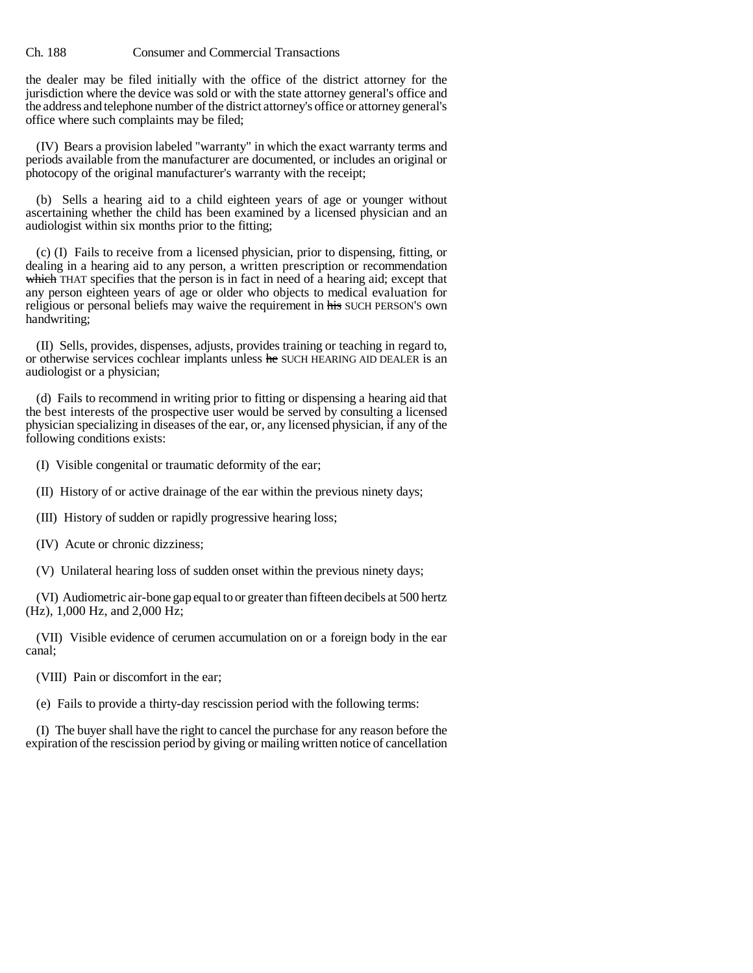the dealer may be filed initially with the office of the district attorney for the jurisdiction where the device was sold or with the state attorney general's office and the address and telephone number of the district attorney's office or attorney general's office where such complaints may be filed;

(IV) Bears a provision labeled "warranty" in which the exact warranty terms and periods available from the manufacturer are documented, or includes an original or photocopy of the original manufacturer's warranty with the receipt;

(b) Sells a hearing aid to a child eighteen years of age or younger without ascertaining whether the child has been examined by a licensed physician and an audiologist within six months prior to the fitting;

(c) (I) Fails to receive from a licensed physician, prior to dispensing, fitting, or dealing in a hearing aid to any person, a written prescription or recommendation which THAT specifies that the person is in fact in need of a hearing aid; except that any person eighteen years of age or older who objects to medical evaluation for religious or personal beliefs may waive the requirement in his SUCH PERSON'S own handwriting;

(II) Sells, provides, dispenses, adjusts, provides training or teaching in regard to, or otherwise services cochlear implants unless he SUCH HEARING AID DEALER is an audiologist or a physician;

(d) Fails to recommend in writing prior to fitting or dispensing a hearing aid that the best interests of the prospective user would be served by consulting a licensed physician specializing in diseases of the ear, or, any licensed physician, if any of the following conditions exists:

(I) Visible congenital or traumatic deformity of the ear;

- (II) History of or active drainage of the ear within the previous ninety days;
- (III) History of sudden or rapidly progressive hearing loss;
- (IV) Acute or chronic dizziness;
- (V) Unilateral hearing loss of sudden onset within the previous ninety days;

(VI) Audiometric air-bone gap equal to or greater than fifteen decibels at 500 hertz (Hz), 1,000 Hz, and 2,000 Hz;

(VII) Visible evidence of cerumen accumulation on or a foreign body in the ear canal;

(VIII) Pain or discomfort in the ear;

(e) Fails to provide a thirty-day rescission period with the following terms:

(I) The buyer shall have the right to cancel the purchase for any reason before the expiration of the rescission period by giving or mailing written notice of cancellation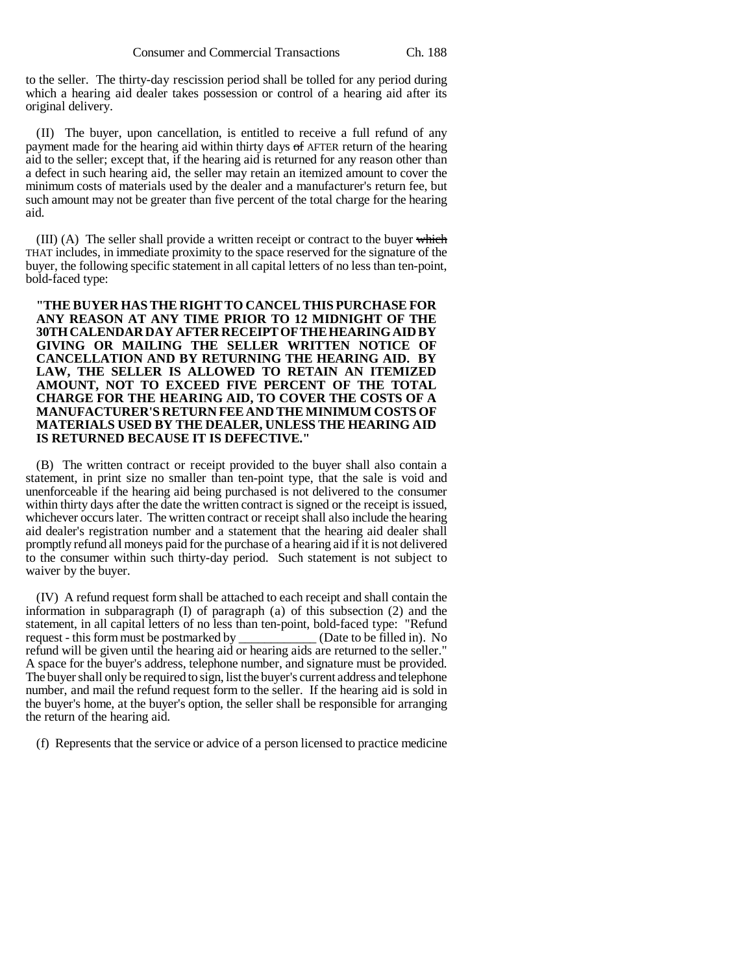to the seller. The thirty-day rescission period shall be tolled for any period during which a hearing aid dealer takes possession or control of a hearing aid after its original delivery.

(II) The buyer, upon cancellation, is entitled to receive a full refund of any payment made for the hearing aid within thirty days of AFTER return of the hearing aid to the seller; except that, if the hearing aid is returned for any reason other than a defect in such hearing aid, the seller may retain an itemized amount to cover the minimum costs of materials used by the dealer and a manufacturer's return fee, but such amount may not be greater than five percent of the total charge for the hearing aid.

 $(III)$  (A) The seller shall provide a written receipt or contract to the buyer which THAT includes, in immediate proximity to the space reserved for the signature of the buyer, the following specific statement in all capital letters of no less than ten-point, bold-faced type:

**"THE BUYER HAS THE RIGHT TO CANCEL THIS PURCHASE FOR ANY REASON AT ANY TIME PRIOR TO 12 MIDNIGHT OF THE 30TH CALENDAR DAY AFTER RECEIPT OF THE HEARING AID BY GIVING OR MAILING THE SELLER WRITTEN NOTICE OF CANCELLATION AND BY RETURNING THE HEARING AID. BY LAW, THE SELLER IS ALLOWED TO RETAIN AN ITEMIZED AMOUNT, NOT TO EXCEED FIVE PERCENT OF THE TOTAL CHARGE FOR THE HEARING AID, TO COVER THE COSTS OF A MANUFACTURER'S RETURN FEE AND THE MINIMUM COSTS OF MATERIALS USED BY THE DEALER, UNLESS THE HEARING AID IS RETURNED BECAUSE IT IS DEFECTIVE."**

(B) The written contract or receipt provided to the buyer shall also contain a statement, in print size no smaller than ten-point type, that the sale is void and unenforceable if the hearing aid being purchased is not delivered to the consumer within thirty days after the date the written contract is signed or the receipt is issued, whichever occurs later. The written contract or receipt shall also include the hearing aid dealer's registration number and a statement that the hearing aid dealer shall promptly refund all moneys paid for the purchase of a hearing aid if it is not delivered to the consumer within such thirty-day period. Such statement is not subject to waiver by the buyer.

(IV) A refund request form shall be attached to each receipt and shall contain the information in subparagraph (I) of paragraph (a) of this subsection (2) and the statement, in all capital letters of no less than ten-point, bold-faced type: "Refund request - this form must be postmarked by (Date to be filled in). No request - this form must be postmarked by  $\overline{\phantom{a}}$ refund will be given until the hearing aid or hearing aids are returned to the seller." A space for the buyer's address, telephone number, and signature must be provided. The buyer shall only be required to sign, list the buyer's current address and telephone number, and mail the refund request form to the seller. If the hearing aid is sold in the buyer's home, at the buyer's option, the seller shall be responsible for arranging the return of the hearing aid.

(f) Represents that the service or advice of a person licensed to practice medicine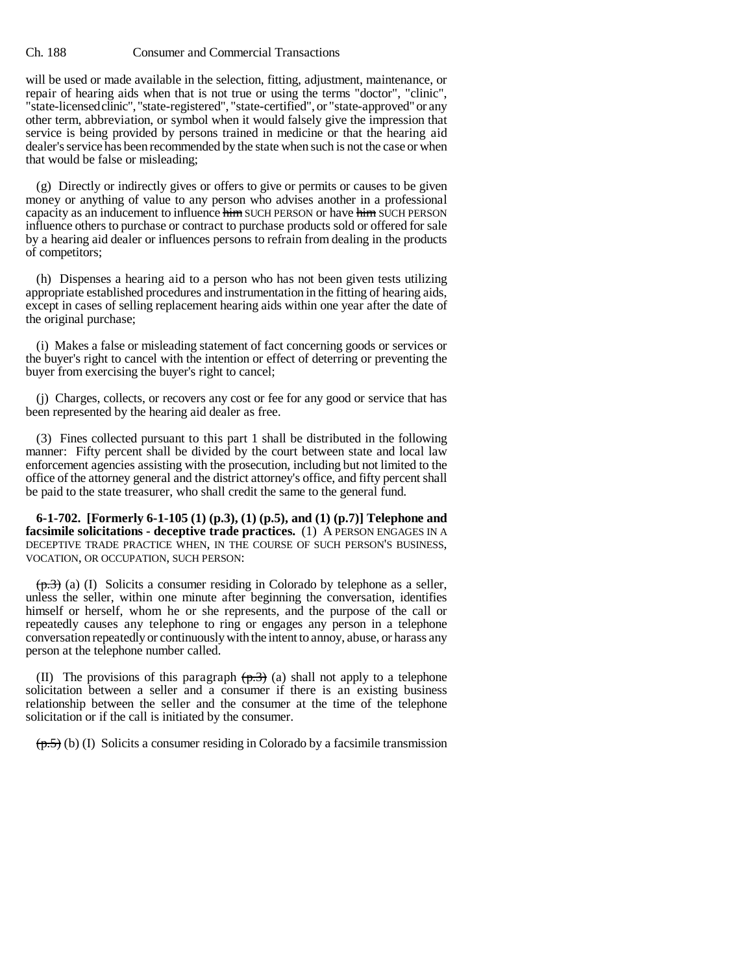will be used or made available in the selection, fitting, adjustment, maintenance, or repair of hearing aids when that is not true or using the terms "doctor", "clinic", "state-licensed clinic", "state-registered", "state-certified", or "state-approved" or any other term, abbreviation, or symbol when it would falsely give the impression that service is being provided by persons trained in medicine or that the hearing aid dealer's service has been recommended by the state when such is not the case or when that would be false or misleading;

(g) Directly or indirectly gives or offers to give or permits or causes to be given money or anything of value to any person who advises another in a professional capacity as an inducement to influence him SUCH PERSON or have him SUCH PERSON influence others to purchase or contract to purchase products sold or offered for sale by a hearing aid dealer or influences persons to refrain from dealing in the products of competitors;

(h) Dispenses a hearing aid to a person who has not been given tests utilizing appropriate established procedures and instrumentation in the fitting of hearing aids, except in cases of selling replacement hearing aids within one year after the date of the original purchase;

(i) Makes a false or misleading statement of fact concerning goods or services or the buyer's right to cancel with the intention or effect of deterring or preventing the buyer from exercising the buyer's right to cancel;

(j) Charges, collects, or recovers any cost or fee for any good or service that has been represented by the hearing aid dealer as free.

(3) Fines collected pursuant to this part 1 shall be distributed in the following manner: Fifty percent shall be divided by the court between state and local law enforcement agencies assisting with the prosecution, including but not limited to the office of the attorney general and the district attorney's office, and fifty percent shall be paid to the state treasurer, who shall credit the same to the general fund.

**6-1-702. [Formerly 6-1-105 (1) (p.3), (1) (p.5), and (1) (p.7)] Telephone and facsimile solicitations - deceptive trade practices.** (1) A PERSON ENGAGES IN A DECEPTIVE TRADE PRACTICE WHEN, IN THE COURSE OF SUCH PERSON'S BUSINESS, VOCATION, OR OCCUPATION, SUCH PERSON:

 $(\overline{p.3})$  (a) (I) Solicits a consumer residing in Colorado by telephone as a seller, unless the seller, within one minute after beginning the conversation, identifies himself or herself, whom he or she represents, and the purpose of the call or repeatedly causes any telephone to ring or engages any person in a telephone conversation repeatedly or continuously with the intent to annoy, abuse, or harass any person at the telephone number called.

(II) The provisions of this paragraph  $(\overline{p.3})$  (a) shall not apply to a telephone solicitation between a seller and a consumer if there is an existing business relationship between the seller and the consumer at the time of the telephone solicitation or if the call is initiated by the consumer.

 $(p.5)$  (b) (I) Solicits a consumer residing in Colorado by a facsimile transmission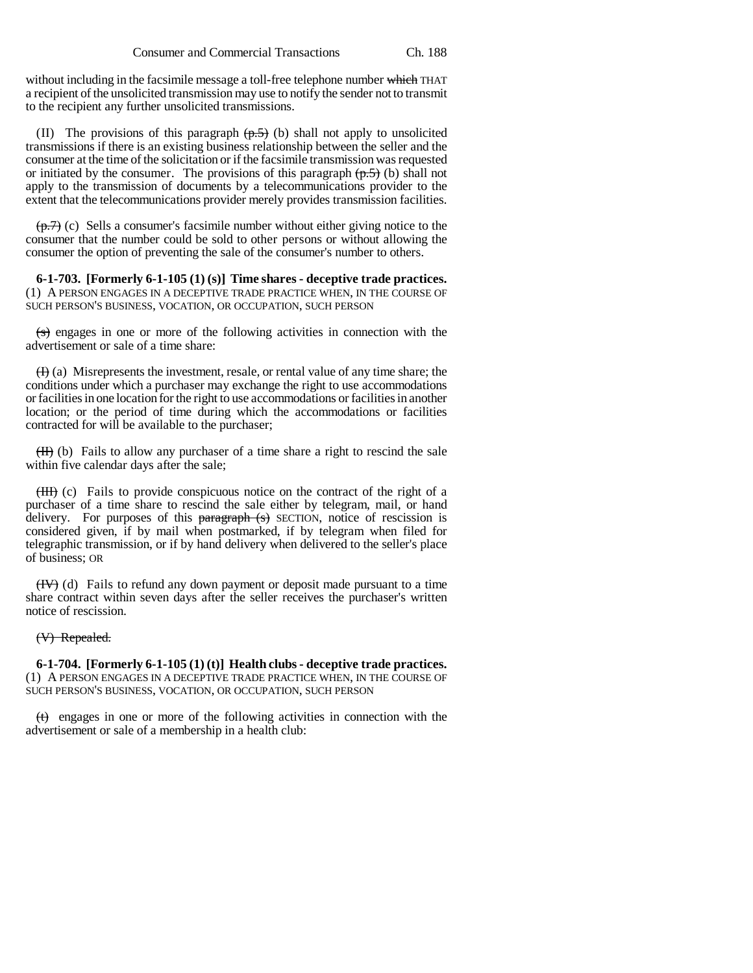without including in the facsimile message a toll-free telephone number which THAT a recipient of the unsolicited transmission may use to notify the sender not to transmit to the recipient any further unsolicited transmissions.

(II) The provisions of this paragraph  $(p.5)$  (b) shall not apply to unsolicited transmissions if there is an existing business relationship between the seller and the consumer at the time of the solicitation or if the facsimile transmission was requested or initiated by the consumer. The provisions of this paragraph  $(p.5)$  (b) shall not apply to the transmission of documents by a telecommunications provider to the extent that the telecommunications provider merely provides transmission facilities.

 $(\overline{p.7})$  (c) Sells a consumer's facsimile number without either giving notice to the consumer that the number could be sold to other persons or without allowing the consumer the option of preventing the sale of the consumer's number to others.

**6-1-703. [Formerly 6-1-105 (1) (s)] Time shares - deceptive trade practices.** (1) A PERSON ENGAGES IN A DECEPTIVE TRADE PRACTICE WHEN, IN THE COURSE OF SUCH PERSON'S BUSINESS, VOCATION, OR OCCUPATION, SUCH PERSON

 $\overline{\text{S}}$  engages in one or more of the following activities in connection with the advertisement or sale of a time share:

 $(H)$  (a) Misrepresents the investment, resale, or rental value of any time share; the conditions under which a purchaser may exchange the right to use accommodations or facilities in one location for the right to use accommodations or facilities in another location; or the period of time during which the accommodations or facilities contracted for will be available to the purchaser;

 $(H)$  (b) Fails to allow any purchaser of a time share a right to rescind the sale within five calendar days after the sale;

(III) (c) Fails to provide conspicuous notice on the contract of the right of a purchaser of a time share to rescind the sale either by telegram, mail, or hand delivery. For purposes of this  $\frac{1}{2}$  paragraph  $\left(s\right)$  SECTION, notice of rescission is considered given, if by mail when postmarked, if by telegram when filed for telegraphic transmission, or if by hand delivery when delivered to the seller's place of business; OR

(IV) (d) Fails to refund any down payment or deposit made pursuant to a time share contract within seven days after the seller receives the purchaser's written notice of rescission.

#### (V) Repealed.

**6-1-704. [Formerly 6-1-105 (1) (t)] Health clubs - deceptive trade practices.** (1) A PERSON ENGAGES IN A DECEPTIVE TRADE PRACTICE WHEN, IN THE COURSE OF SUCH PERSON'S BUSINESS, VOCATION, OR OCCUPATION, SUCH PERSON

 $(t)$  engages in one or more of the following activities in connection with the advertisement or sale of a membership in a health club: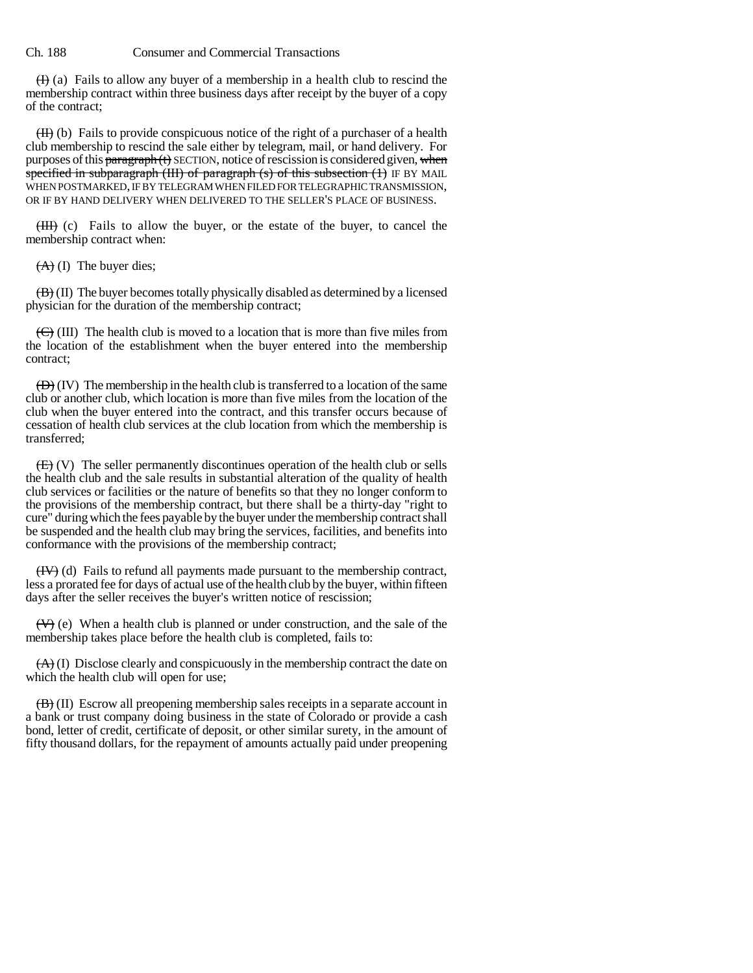$(H)$  (a) Fails to allow any buyer of a membership in a health club to rescind the membership contract within three business days after receipt by the buyer of a copy of the contract;

 $(H)$  (b) Fails to provide conspicuous notice of the right of a purchaser of a health club membership to rescind the sale either by telegram, mail, or hand delivery. For purposes of this  $\frac{1}{2}$  paragraph (t) SECTION, notice of rescission is considered given, when specified in subparagraph (III) of paragraph  $(s)$  of this subsection  $(1)$  IF BY MAIL WHEN POSTMARKED, IF BY TELEGRAM WHEN FILED FOR TELEGRAPHIC TRANSMISSION, OR IF BY HAND DELIVERY WHEN DELIVERED TO THE SELLER'S PLACE OF BUSINESS.

 $(HH)$  (c) Fails to allow the buyer, or the estate of the buyer, to cancel the membership contract when:

 $(A)$  (I) The buyer dies;

 $(\overline{B})(II)$  The buyer becomes totally physically disabled as determined by a licensed physician for the duration of the membership contract;

 $(\overline{\mathbf{C}})$  (III) The health club is moved to a location that is more than five miles from the location of the establishment when the buyer entered into the membership contract;

 $\overline{(D)}$  (IV) The membership in the health club is transferred to a location of the same club or another club, which location is more than five miles from the location of the club when the buyer entered into the contract, and this transfer occurs because of cessation of health club services at the club location from which the membership is transferred;

 $(E)$  (V) The seller permanently discontinues operation of the health club or sells the health club and the sale results in substantial alteration of the quality of health club services or facilities or the nature of benefits so that they no longer conform to the provisions of the membership contract, but there shall be a thirty-day "right to cure" during which the fees payable by the buyer under the membership contract shall be suspended and the health club may bring the services, facilities, and benefits into conformance with the provisions of the membership contract;

(IV) (d) Fails to refund all payments made pursuant to the membership contract, less a prorated fee for days of actual use of the health club by the buyer, within fifteen days after the seller receives the buyer's written notice of rescission;

 $(V)$  (e) When a health club is planned or under construction, and the sale of the membership takes place before the health club is completed, fails to:

 $(A)$  (I) Disclose clearly and conspicuously in the membership contract the date on which the health club will open for use;

(B) (II) Escrow all preopening membership sales receipts in a separate account in a bank or trust company doing business in the state of Colorado or provide a cash bond, letter of credit, certificate of deposit, or other similar surety, in the amount of fifty thousand dollars, for the repayment of amounts actually paid under preopening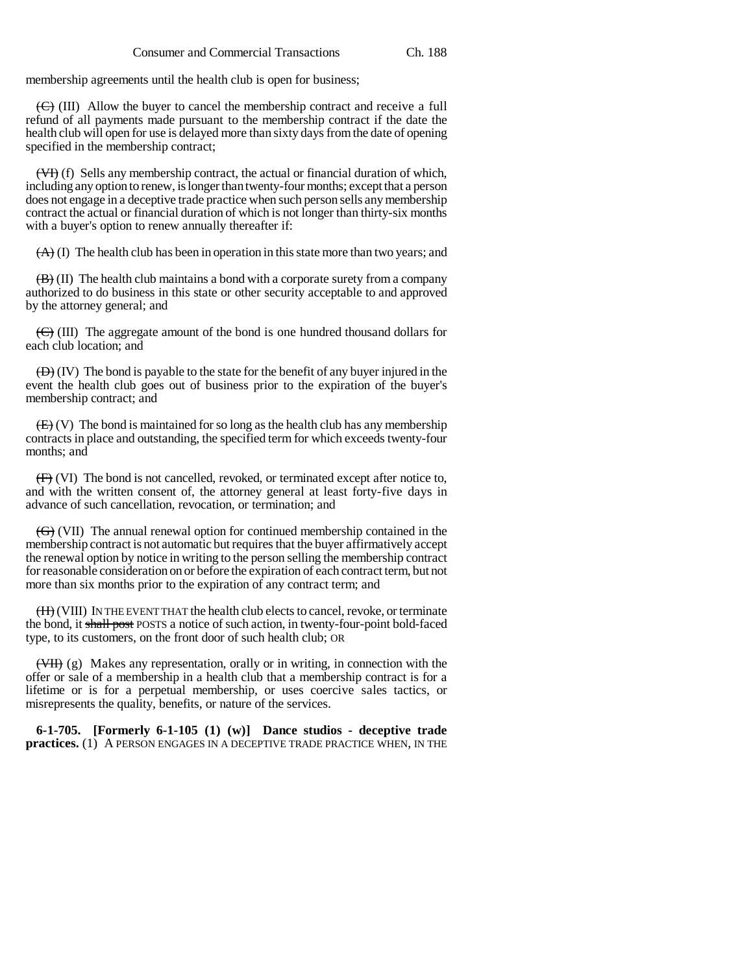membership agreements until the health club is open for business;

 $(\overline{\mathbf{C}})$  (III) Allow the buyer to cancel the membership contract and receive a full refund of all payments made pursuant to the membership contract if the date the health club will open for use is delayed more than sixty days from the date of opening specified in the membership contract;

(VI) (f) Sells any membership contract, the actual or financial duration of which, including any option to renew, is longer than twenty-four months; except that a person does not engage in a deceptive trade practice when such person sells any membership contract the actual or financial duration of which is not longer than thirty-six months with a buyer's option to renew annually thereafter if:

 $(A)$  (I) The health club has been in operation in this state more than two years; and

 $\overline{(B)}$  (II) The health club maintains a bond with a corporate surety from a company authorized to do business in this state or other security acceptable to and approved by the attorney general; and

 $(\overline{\mathbf{C}})$  (III) The aggregate amount of the bond is one hundred thousand dollars for each club location; and

 $(\overline{D})(IV)$  The bond is payable to the state for the benefit of any buyer injured in the event the health club goes out of business prior to the expiration of the buyer's membership contract; and

 $(E)$  (V) The bond is maintained for so long as the health club has any membership contracts in place and outstanding, the specified term for which exceeds twenty-four months; and

(F) (VI) The bond is not cancelled, revoked, or terminated except after notice to, and with the written consent of, the attorney general at least forty-five days in advance of such cancellation, revocation, or termination; and

(G) (VII) The annual renewal option for continued membership contained in the membership contract is not automatic but requires that the buyer affirmatively accept the renewal option by notice in writing to the person selling the membership contract for reasonable consideration on or before the expiration of each contract term, but not more than six months prior to the expiration of any contract term; and

(H) (VIII) IN THE EVENT THAT the health club elects to cancel, revoke, or terminate the bond, it shall post POSTS a notice of such action, in twenty-four-point bold-faced type, to its customers, on the front door of such health club; OR

 $(\overline{\text{VH}})(g)$  Makes any representation, orally or in writing, in connection with the offer or sale of a membership in a health club that a membership contract is for a lifetime or is for a perpetual membership, or uses coercive sales tactics, or misrepresents the quality, benefits, or nature of the services.

**6-1-705. [Formerly 6-1-105 (1) (w)] Dance studios - deceptive trade practices.** (1) A PERSON ENGAGES IN A DECEPTIVE TRADE PRACTICE WHEN, IN THE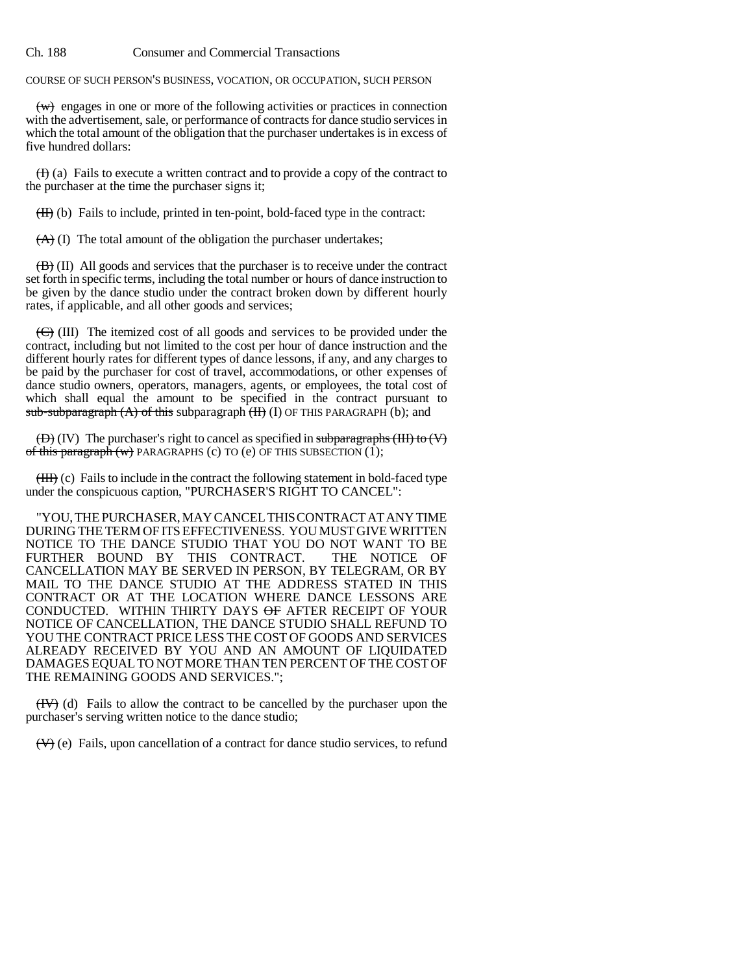COURSE OF SUCH PERSON'S BUSINESS, VOCATION, OR OCCUPATION, SUCH PERSON

 $(w)$  engages in one or more of the following activities or practices in connection with the advertisement, sale, or performance of contracts for dance studio services in which the total amount of the obligation that the purchaser undertakes is in excess of five hundred dollars:

 $(H)$  (a) Fails to execute a written contract and to provide a copy of the contract to the purchaser at the time the purchaser signs it;

 $(H)$  (b) Fails to include, printed in ten-point, bold-faced type in the contract:

 $(A)$  (I) The total amount of the obligation the purchaser undertakes;

 $(\overrightarrow{B})$  (II) All goods and services that the purchaser is to receive under the contract set forth in specific terms, including the total number or hours of dance instruction to be given by the dance studio under the contract broken down by different hourly rates, if applicable, and all other goods and services;

 $(\overline{\mathbf{C}})$  (III) The itemized cost of all goods and services to be provided under the contract, including but not limited to the cost per hour of dance instruction and the different hourly rates for different types of dance lessons, if any, and any charges to be paid by the purchaser for cost of travel, accommodations, or other expenses of dance studio owners, operators, managers, agents, or employees, the total cost of which shall equal the amount to be specified in the contract pursuant to sub-subparagraph (A) of this subparagraph (H) (I) OF THIS PARAGRAPH (b); and

 $(\overline{D})(IV)$  The purchaser's right to cancel as specified in subparagraphs (III) to  $(V)$ of this paragraph  $(w)$  PARAGRAPHS (c) TO (e) OF THIS SUBSECTION  $(1)$ ;

(III) (c) Fails to include in the contract the following statement in bold-faced type under the conspicuous caption, "PURCHASER'S RIGHT TO CANCEL":

"YOU, THE PURCHASER, MAY CANCEL THIS CONTRACT AT ANY TIME DURING THE TERM OF ITS EFFECTIVENESS. YOU MUST GIVE WRITTEN NOTICE TO THE DANCE STUDIO THAT YOU DO NOT WANT TO BE FURTHER BOUND BY THIS CONTRACT. THE NOTICE OF CANCELLATION MAY BE SERVED IN PERSON, BY TELEGRAM, OR BY MAIL TO THE DANCE STUDIO AT THE ADDRESS STATED IN THIS CONTRACT OR AT THE LOCATION WHERE DANCE LESSONS ARE CONDUCTED. WITHIN THIRTY DAYS OF AFTER RECEIPT OF YOUR NOTICE OF CANCELLATION, THE DANCE STUDIO SHALL REFUND TO YOU THE CONTRACT PRICE LESS THE COST OF GOODS AND SERVICES ALREADY RECEIVED BY YOU AND AN AMOUNT OF LIQUIDATED DAMAGES EQUAL TO NOT MORE THAN TEN PERCENT OF THE COST OF THE REMAINING GOODS AND SERVICES.";

(IV) (d) Fails to allow the contract to be cancelled by the purchaser upon the purchaser's serving written notice to the dance studio;

(V) (e) Fails, upon cancellation of a contract for dance studio services, to refund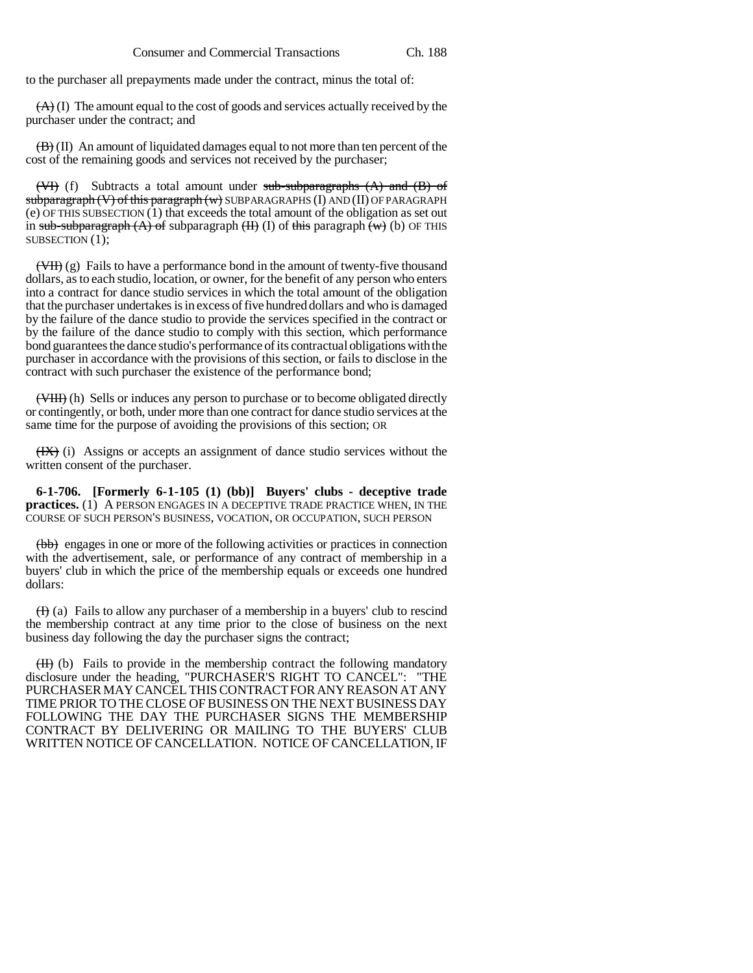to the purchaser all prepayments made under the contract, minus the total of:

 $(A)$  (I) The amount equal to the cost of goods and services actually received by the purchaser under the contract; and

 $(\mathbf{B})$  (II) An amount of liquidated damages equal to not more than ten percent of the cost of the remaining goods and services not received by the purchaser;

 $(\forall f)$  (f) Subtracts a total amount under sub-subparagraphs  $(A)$  and  $(B)$  of subparagraph (V) of this paragraph (w) SUBPARAGRAPHS (I) AND (II) OF PARAGRAPH (e) OF THIS SUBSECTION  $(1)$  that exceeds the total amount of the obligation as set out in sub-subparagraph  $(A)$  of subparagraph  $(H)$  (I) of this paragraph  $(w)$  (b) OF THIS SUBSECTION  $(1)$ :

 $(\overline{\text{VH}})$  (g) Fails to have a performance bond in the amount of twenty-five thousand dollars, as to each studio, location, or owner, for the benefit of any person who enters into a contract for dance studio services in which the total amount of the obligation that the purchaser undertakes is in excess of five hundred dollars and who is damaged by the failure of the dance studio to provide the services specified in the contract or by the failure of the dance studio to comply with this section, which performance bond guarantees the dance studio's performance of its contractual obligations with the purchaser in accordance with the provisions of this section, or fails to disclose in the contract with such purchaser the existence of the performance bond;

(VIII) (h) Sells or induces any person to purchase or to become obligated directly or contingently, or both, under more than one contract for dance studio services at the same time for the purpose of avoiding the provisions of this section; OR

(IX) (i) Assigns or accepts an assignment of dance studio services without the written consent of the purchaser.

**6-1-706. [Formerly 6-1-105 (1) (bb)] Buyers' clubs - deceptive trade practices.** (1) A PERSON ENGAGES IN A DECEPTIVE TRADE PRACTICE WHEN, IN THE COURSE OF SUCH PERSON'S BUSINESS, VOCATION, OR OCCUPATION, SUCH PERSON

(bb) engages in one or more of the following activities or practices in connection with the advertisement, sale, or performance of any contract of membership in a buyers' club in which the price of the membership equals or exceeds one hundred dollars:

 $(H)$  (a) Fails to allow any purchaser of a membership in a buyers' club to rescind the membership contract at any time prior to the close of business on the next business day following the day the purchaser signs the contract;

(II) (b) Fails to provide in the membership contract the following mandatory disclosure under the heading, "PURCHASER'S RIGHT TO CANCEL": "THE PURCHASER MAY CANCEL THIS CONTRACT FOR ANY REASON AT ANY TIME PRIOR TO THE CLOSE OF BUSINESS ON THE NEXT BUSINESS DAY FOLLOWING THE DAY THE PURCHASER SIGNS THE MEMBERSHIP CONTRACT BY DELIVERING OR MAILING TO THE BUYERS' CLUB WRITTEN NOTICE OF CANCELLATION. NOTICE OF CANCELLATION, IF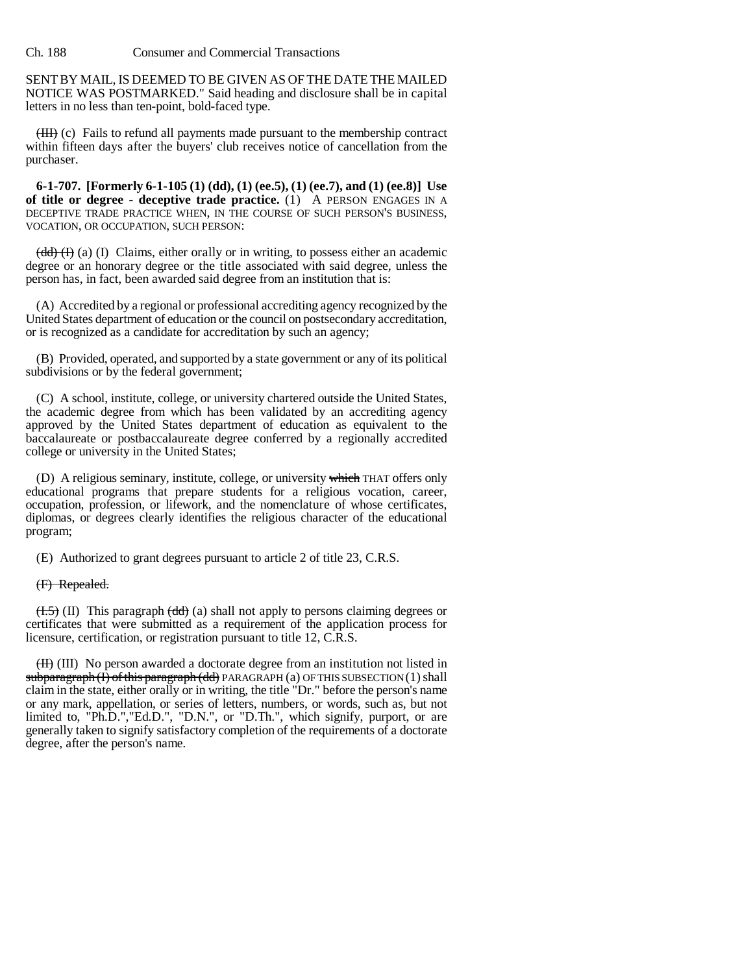SENT BY MAIL, IS DEEMED TO BE GIVEN AS OF THE DATE THE MAILED NOTICE WAS POSTMARKED." Said heading and disclosure shall be in capital letters in no less than ten-point, bold-faced type.

(III) (c) Fails to refund all payments made pursuant to the membership contract within fifteen days after the buyers' club receives notice of cancellation from the purchaser.

**6-1-707. [Formerly 6-1-105 (1) (dd), (1) (ee.5), (1) (ee.7), and (1) (ee.8)] Use of title or degree - deceptive trade practice.** (1) A PERSON ENGAGES IN A DECEPTIVE TRADE PRACTICE WHEN, IN THE COURSE OF SUCH PERSON'S BUSINESS, VOCATION, OR OCCUPATION, SUCH PERSON:

 $\left(\frac{dd}{d}\right)$  (a) (I) Claims, either orally or in writing, to possess either an academic degree or an honorary degree or the title associated with said degree, unless the person has, in fact, been awarded said degree from an institution that is:

(A) Accredited by a regional or professional accrediting agency recognized by the United States department of education or the council on postsecondary accreditation, or is recognized as a candidate for accreditation by such an agency;

(B) Provided, operated, and supported by a state government or any of its political subdivisions or by the federal government;

(C) A school, institute, college, or university chartered outside the United States, the academic degree from which has been validated by an accrediting agency approved by the United States department of education as equivalent to the baccalaureate or postbaccalaureate degree conferred by a regionally accredited college or university in the United States;

(D) A religious seminary, institute, college, or university which THAT offers only educational programs that prepare students for a religious vocation, career, occupation, profession, or lifework, and the nomenclature of whose certificates, diplomas, or degrees clearly identifies the religious character of the educational program;

(E) Authorized to grant degrees pursuant to article 2 of title 23, C.R.S.

#### (F) Repealed.

 $(1.5)$  (II) This paragraph  $(dd)$  (a) shall not apply to persons claiming degrees or certificates that were submitted as a requirement of the application process for licensure, certification, or registration pursuant to title 12, C.R.S.

(II) (III) No person awarded a doctorate degree from an institution not listed in  $subparameterath(f)$  of this paragraph (dd) PARAGRAPH (a) OF THIS SUBSECTION (1) shall claim in the state, either orally or in writing, the title "Dr." before the person's name or any mark, appellation, or series of letters, numbers, or words, such as, but not limited to, "Ph.D.","Ed.D.", "D.N.", or "D.Th.", which signify, purport, or are generally taken to signify satisfactory completion of the requirements of a doctorate degree, after the person's name.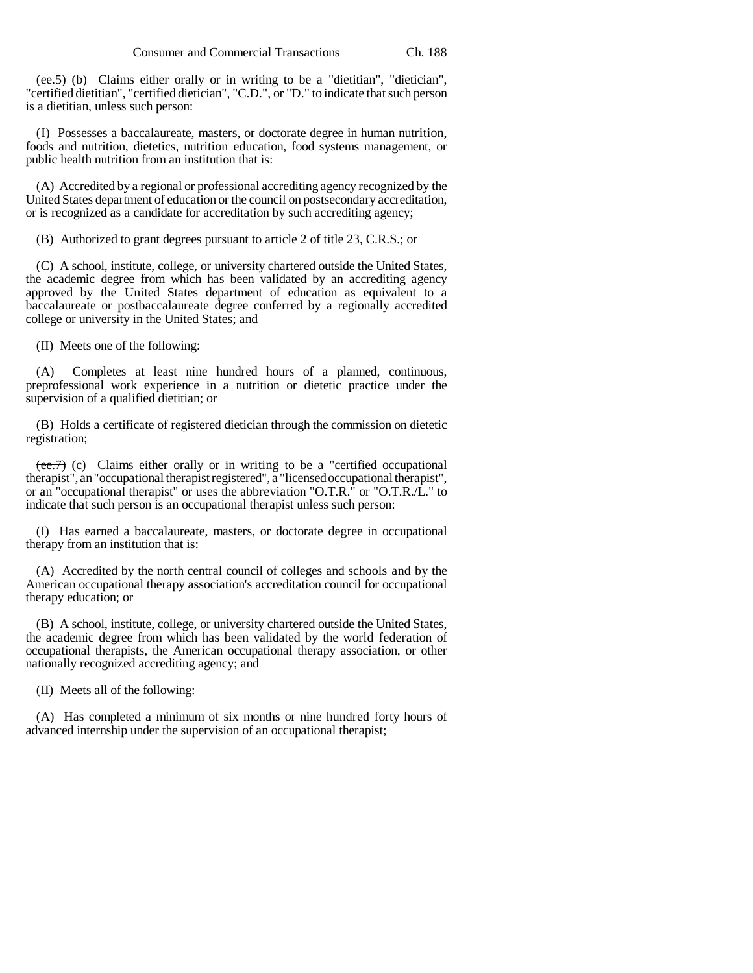(ee.5) (b) Claims either orally or in writing to be a "dietitian", "dietician", "certified dietitian", "certified dietician", "C.D.", or "D." to indicate that such person is a dietitian, unless such person:

(I) Possesses a baccalaureate, masters, or doctorate degree in human nutrition, foods and nutrition, dietetics, nutrition education, food systems management, or public health nutrition from an institution that is:

(A) Accredited by a regional or professional accrediting agency recognized by the United States department of education or the council on postsecondary accreditation, or is recognized as a candidate for accreditation by such accrediting agency;

(B) Authorized to grant degrees pursuant to article 2 of title 23, C.R.S.; or

(C) A school, institute, college, or university chartered outside the United States, the academic degree from which has been validated by an accrediting agency approved by the United States department of education as equivalent to a baccalaureate or postbaccalaureate degree conferred by a regionally accredited college or university in the United States; and

(II) Meets one of the following:

(A) Completes at least nine hundred hours of a planned, continuous, preprofessional work experience in a nutrition or dietetic practice under the supervision of a qualified dietitian; or

(B) Holds a certificate of registered dietician through the commission on dietetic registration;

 $\overline{(ee.7)}$  (c) Claims either orally or in writing to be a "certified occupational therapist", an "occupational therapist registered", a "licensed occupational therapist", or an "occupational therapist" or uses the abbreviation "O.T.R." or "O.T.R./L." to indicate that such person is an occupational therapist unless such person:

(I) Has earned a baccalaureate, masters, or doctorate degree in occupational therapy from an institution that is:

(A) Accredited by the north central council of colleges and schools and by the American occupational therapy association's accreditation council for occupational therapy education; or

(B) A school, institute, college, or university chartered outside the United States, the academic degree from which has been validated by the world federation of occupational therapists, the American occupational therapy association, or other nationally recognized accrediting agency; and

(II) Meets all of the following:

(A) Has completed a minimum of six months or nine hundred forty hours of advanced internship under the supervision of an occupational therapist;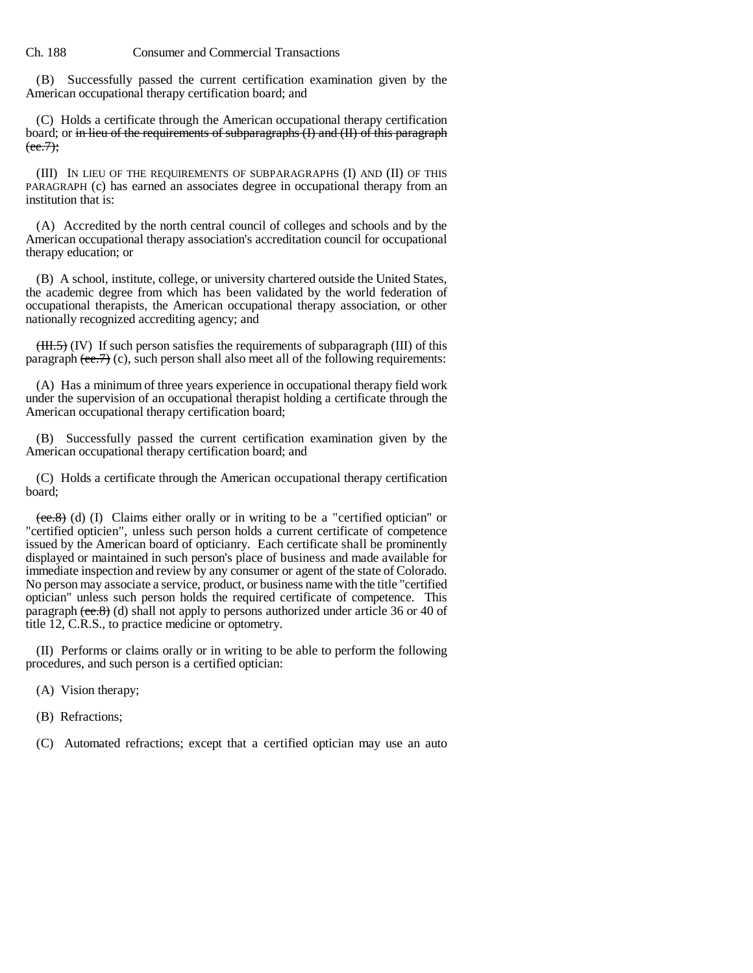(B) Successfully passed the current certification examination given by the American occupational therapy certification board; and

(C) Holds a certificate through the American occupational therapy certification board; or in lieu of the requirements of subparagraphs  $(I)$  and  $(II)$  of this paragraph  $(ee.7);$ 

(III) IN LIEU OF THE REQUIREMENTS OF SUBPARAGRAPHS (I) AND (II) OF THIS PARAGRAPH (c) has earned an associates degree in occupational therapy from an institution that is:

(A) Accredited by the north central council of colleges and schools and by the American occupational therapy association's accreditation council for occupational therapy education; or

(B) A school, institute, college, or university chartered outside the United States, the academic degree from which has been validated by the world federation of occupational therapists, the American occupational therapy association, or other nationally recognized accrediting agency; and

 $(HH.5)$  (IV) If such person satisfies the requirements of subparagraph (III) of this paragraph  $(\text{ee.7})$  (c), such person shall also meet all of the following requirements:

(A) Has a minimum of three years experience in occupational therapy field work under the supervision of an occupational therapist holding a certificate through the American occupational therapy certification board;

(B) Successfully passed the current certification examination given by the American occupational therapy certification board; and

(C) Holds a certificate through the American occupational therapy certification board;

 $(ee.8)$  (d) (I) Claims either orally or in writing to be a "certified optician" or "certified opticien", unless such person holds a current certificate of competence issued by the American board of opticianry. Each certificate shall be prominently displayed or maintained in such person's place of business and made available for immediate inspection and review by any consumer or agent of the state of Colorado. No person may associate a service, product, or business name with the title "certified optician" unless such person holds the required certificate of competence. This paragraph (ee.8) (d) shall not apply to persons authorized under article 36 or 40 of title 12, C.R.S., to practice medicine or optometry.

(II) Performs or claims orally or in writing to be able to perform the following procedures, and such person is a certified optician:

- (A) Vision therapy;
- (B) Refractions;
- (C) Automated refractions; except that a certified optician may use an auto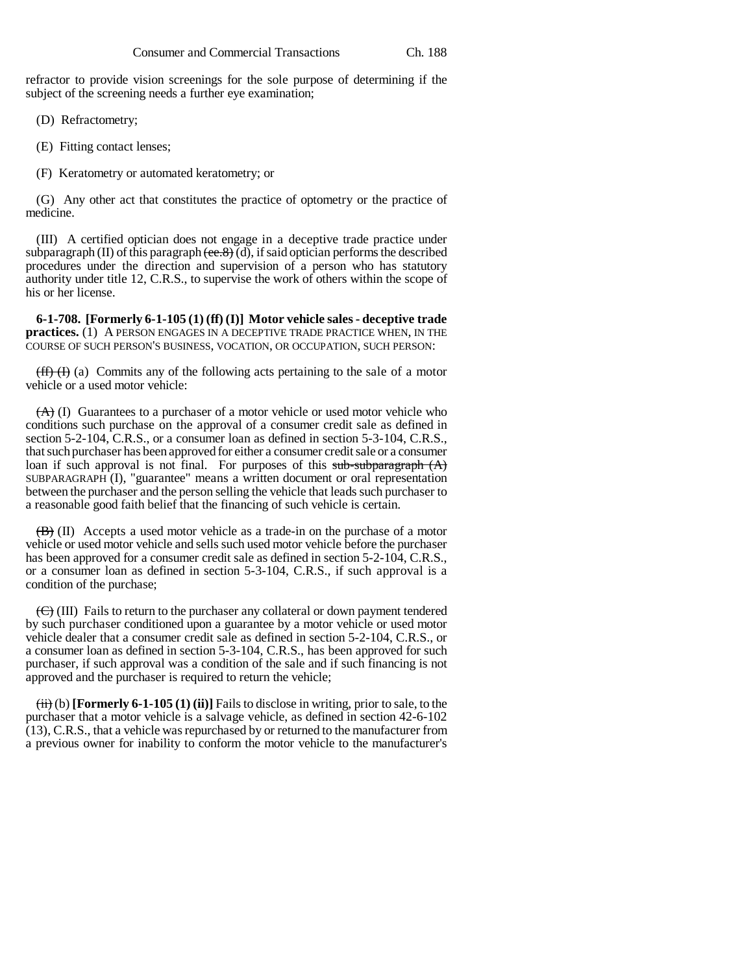refractor to provide vision screenings for the sole purpose of determining if the subject of the screening needs a further eye examination;

(D) Refractometry;

(E) Fitting contact lenses;

(F) Keratometry or automated keratometry; or

(G) Any other act that constitutes the practice of optometry or the practice of medicine.

(III) A certified optician does not engage in a deceptive trade practice under subparagraph (II) of this paragraph  $(\overline{ee.8})$  (d), if said optician performs the described procedures under the direction and supervision of a person who has statutory authority under title 12, C.R.S., to supervise the work of others within the scope of his or her license.

**6-1-708. [Formerly 6-1-105 (1) (ff) (I)] Motor vehicle sales - deceptive trade practices.** (1) A PERSON ENGAGES IN A DECEPTIVE TRADE PRACTICE WHEN, IN THE COURSE OF SUCH PERSON'S BUSINESS, VOCATION, OR OCCUPATION, SUCH PERSON:

 $(f\hat{f})$  (i) (a) Commits any of the following acts pertaining to the sale of a motor vehicle or a used motor vehicle:

 $(A)$  (I) Guarantees to a purchaser of a motor vehicle or used motor vehicle who conditions such purchase on the approval of a consumer credit sale as defined in section 5-2-104, C.R.S., or a consumer loan as defined in section 5-3-104, C.R.S., that such purchaser has been approved for either a consumer credit sale or a consumer loan if such approval is not final. For purposes of this sub-subparagraph  $(A)$ SUBPARAGRAPH (I), "guarantee" means a written document or oral representation between the purchaser and the person selling the vehicle that leads such purchaser to a reasonable good faith belief that the financing of such vehicle is certain.

(B) (II) Accepts a used motor vehicle as a trade-in on the purchase of a motor vehicle or used motor vehicle and sells such used motor vehicle before the purchaser has been approved for a consumer credit sale as defined in section 5-2-104, C.R.S., or a consumer loan as defined in section 5-3-104, C.R.S., if such approval is a condition of the purchase;

 $\left(\frac{f}{f}\right)$  (III) Fails to return to the purchaser any collateral or down payment tendered by such purchaser conditioned upon a guarantee by a motor vehicle or used motor vehicle dealer that a consumer credit sale as defined in section 5-2-104, C.R.S., or a consumer loan as defined in section 5-3-104, C.R.S., has been approved for such purchaser, if such approval was a condition of the sale and if such financing is not approved and the purchaser is required to return the vehicle;

(ii) (b) **[Formerly 6-1-105 (1) (ii)]** Fails to disclose in writing, prior to sale, to the purchaser that a motor vehicle is a salvage vehicle, as defined in section 42-6-102 (13), C.R.S., that a vehicle was repurchased by or returned to the manufacturer from a previous owner for inability to conform the motor vehicle to the manufacturer's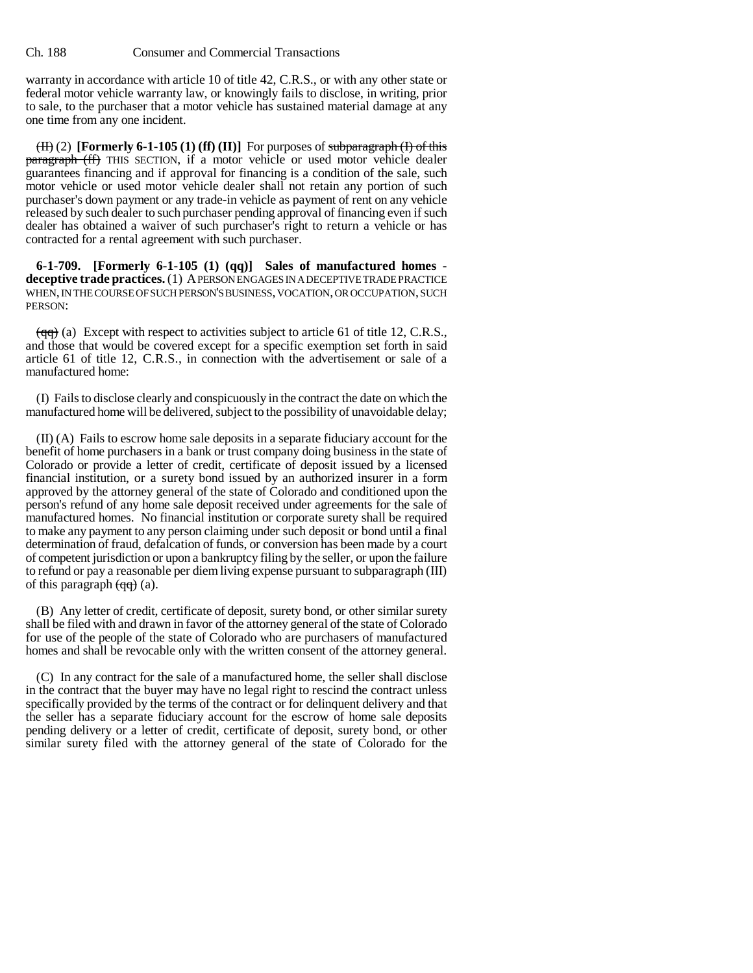warranty in accordance with article 10 of title 42, C.R.S., or with any other state or federal motor vehicle warranty law, or knowingly fails to disclose, in writing, prior to sale, to the purchaser that a motor vehicle has sustained material damage at any one time from any one incident.

 $(H)$  (2) **[Formerly 6-1-105 (1) (ff) (II)**] For purposes of subparagraph (I) of this **paragraph** (ff) THIS SECTION, if a motor vehicle or used motor vehicle dealer guarantees financing and if approval for financing is a condition of the sale, such motor vehicle or used motor vehicle dealer shall not retain any portion of such purchaser's down payment or any trade-in vehicle as payment of rent on any vehicle released by such dealer to such purchaser pending approval of financing even if such dealer has obtained a waiver of such purchaser's right to return a vehicle or has contracted for a rental agreement with such purchaser.

**6-1-709. [Formerly 6-1-105 (1) (qq)] Sales of manufactured homes deceptive trade practices.** (1) A PERSON ENGAGES IN A DECEPTIVE TRADE PRACTICE WHEN, IN THE COURSE OF SUCH PERSON'S BUSINESS, VOCATION, OR OCCUPATION, SUCH PERSON:

 $(qq)$  (a) Except with respect to activities subject to article 61 of title 12, C.R.S., and those that would be covered except for a specific exemption set forth in said article 61 of title 12, C.R.S., in connection with the advertisement or sale of a manufactured home:

(I) Fails to disclose clearly and conspicuously in the contract the date on which the manufactured home will be delivered, subject to the possibility of unavoidable delay;

(II) (A) Fails to escrow home sale deposits in a separate fiduciary account for the benefit of home purchasers in a bank or trust company doing business in the state of Colorado or provide a letter of credit, certificate of deposit issued by a licensed financial institution, or a surety bond issued by an authorized insurer in a form approved by the attorney general of the state of Colorado and conditioned upon the person's refund of any home sale deposit received under agreements for the sale of manufactured homes. No financial institution or corporate surety shall be required to make any payment to any person claiming under such deposit or bond until a final determination of fraud, defalcation of funds, or conversion has been made by a court of competent jurisdiction or upon a bankruptcy filing by the seller, or upon the failure to refund or pay a reasonable per diem living expense pursuant to subparagraph (III) of this paragraph  $(qq)$  (a).

(B) Any letter of credit, certificate of deposit, surety bond, or other similar surety shall be filed with and drawn in favor of the attorney general of the state of Colorado for use of the people of the state of Colorado who are purchasers of manufactured homes and shall be revocable only with the written consent of the attorney general.

(C) In any contract for the sale of a manufactured home, the seller shall disclose in the contract that the buyer may have no legal right to rescind the contract unless specifically provided by the terms of the contract or for delinquent delivery and that the seller has a separate fiduciary account for the escrow of home sale deposits pending delivery or a letter of credit, certificate of deposit, surety bond, or other similar surety filed with the attorney general of the state of Colorado for the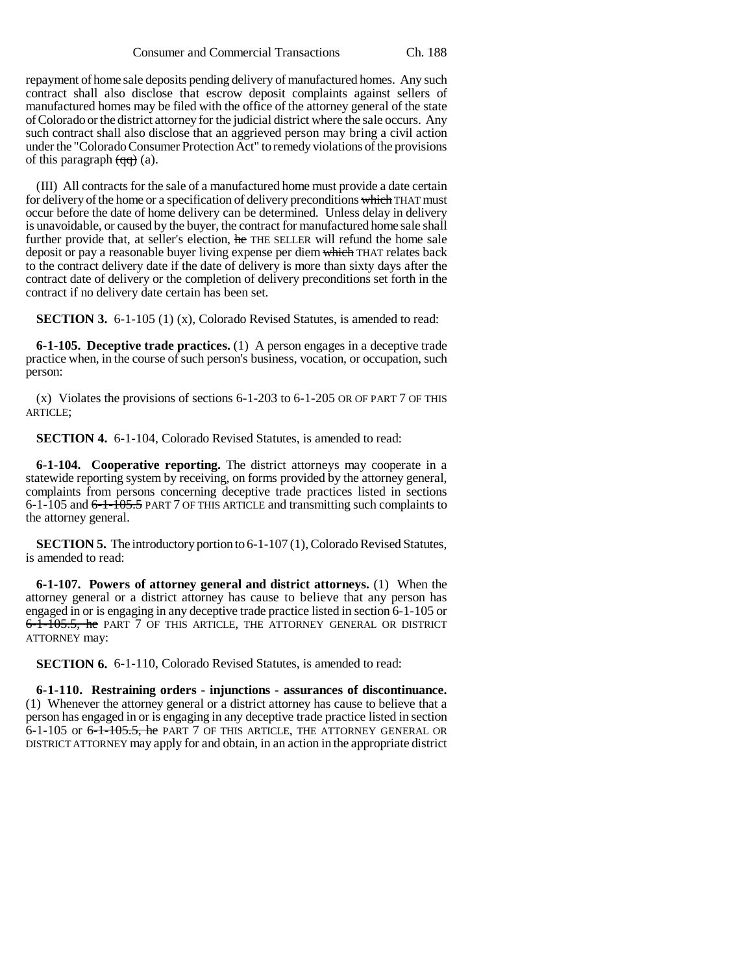repayment of home sale deposits pending delivery of manufactured homes. Any such contract shall also disclose that escrow deposit complaints against sellers of manufactured homes may be filed with the office of the attorney general of the state of Colorado or the district attorney for the judicial district where the sale occurs. Any such contract shall also disclose that an aggrieved person may bring a civil action under the "Colorado Consumer Protection Act" to remedy violations of the provisions of this paragraph  $\left(\frac{q}{q}\right)$  (a).

(III) All contracts for the sale of a manufactured home must provide a date certain for delivery of the home or a specification of delivery preconditions which THAT must occur before the date of home delivery can be determined. Unless delay in delivery is unavoidable, or caused by the buyer, the contract for manufactured home sale shall further provide that, at seller's election, he THE SELLER will refund the home sale deposit or pay a reasonable buyer living expense per diem which THAT relates back to the contract delivery date if the date of delivery is more than sixty days after the contract date of delivery or the completion of delivery preconditions set forth in the contract if no delivery date certain has been set.

**SECTION 3.** 6-1-105 (1) (x), Colorado Revised Statutes, is amended to read:

**6-1-105. Deceptive trade practices.** (1) A person engages in a deceptive trade practice when, in the course of such person's business, vocation, or occupation, such person:

(x) Violates the provisions of sections 6-1-203 to 6-1-205 OR OF PART 7 OF THIS ARTICLE;

**SECTION 4.** 6-1-104, Colorado Revised Statutes, is amended to read:

**6-1-104. Cooperative reporting.** The district attorneys may cooperate in a statewide reporting system by receiving, on forms provided by the attorney general, complaints from persons concerning deceptive trade practices listed in sections 6-1-105 and  $6$ -1-105.5 PART 7 OF THIS ARTICLE and transmitting such complaints to the attorney general.

**SECTION 5.** The introductory portion to 6-1-107 (1), Colorado Revised Statutes, is amended to read:

**6-1-107. Powers of attorney general and district attorneys.** (1) When the attorney general or a district attorney has cause to believe that any person has engaged in or is engaging in any deceptive trade practice listed in section 6-1-105 or 6-1-105.5, he PART 7 OF THIS ARTICLE, THE ATTORNEY GENERAL OR DISTRICT ATTORNEY may:

**SECTION 6.** 6-1-110, Colorado Revised Statutes, is amended to read:

**6-1-110. Restraining orders - injunctions - assurances of discontinuance.** (1) Whenever the attorney general or a district attorney has cause to believe that a person has engaged in or is engaging in any deceptive trade practice listed in section 6-1-105 or 6-1-105.5, he PART 7 OF THIS ARTICLE, THE ATTORNEY GENERAL OR DISTRICT ATTORNEY may apply for and obtain, in an action in the appropriate district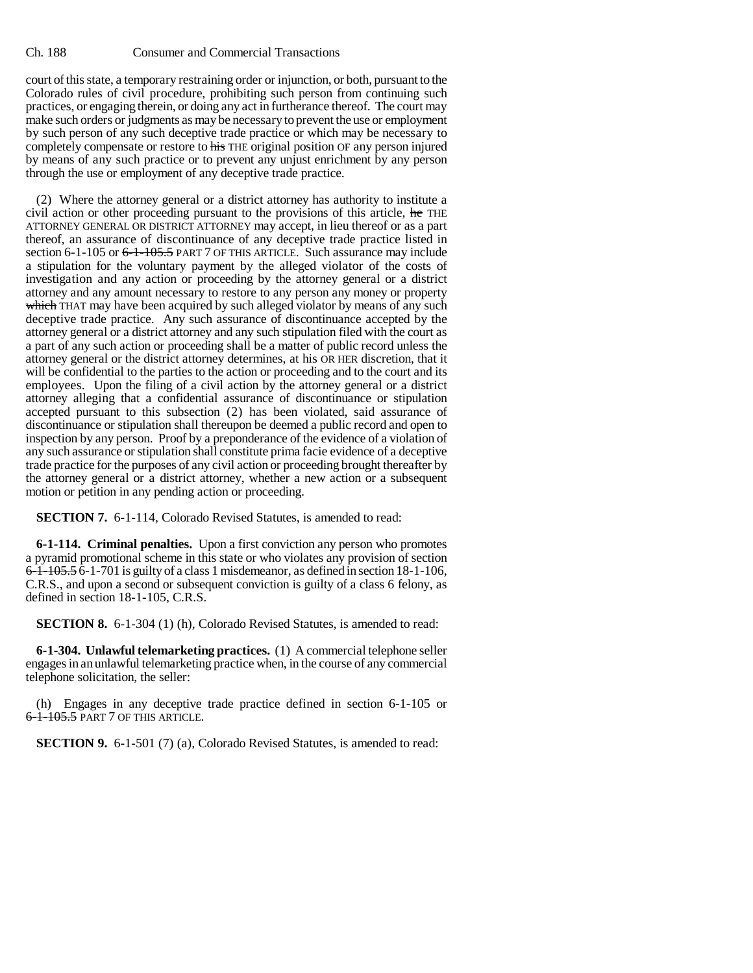court of this state, a temporary restraining order or injunction, or both, pursuant to the Colorado rules of civil procedure, prohibiting such person from continuing such practices, or engaging therein, or doing any act in furtherance thereof. The court may make such orders or judgments as may be necessary to prevent the use or employment by such person of any such deceptive trade practice or which may be necessary to completely compensate or restore to his THE original position OF any person injured by means of any such practice or to prevent any unjust enrichment by any person through the use or employment of any deceptive trade practice.

(2) Where the attorney general or a district attorney has authority to institute a civil action or other proceeding pursuant to the provisions of this article, he THE ATTORNEY GENERAL OR DISTRICT ATTORNEY may accept, in lieu thereof or as a part thereof, an assurance of discontinuance of any deceptive trade practice listed in section 6-1-105 or <del>6-1-105.5</del> PART 7 OF THIS ARTICLE. Such assurance may include a stipulation for the voluntary payment by the alleged violator of the costs of investigation and any action or proceeding by the attorney general or a district attorney and any amount necessary to restore to any person any money or property which THAT may have been acquired by such alleged violator by means of any such deceptive trade practice. Any such assurance of discontinuance accepted by the attorney general or a district attorney and any such stipulation filed with the court as a part of any such action or proceeding shall be a matter of public record unless the attorney general or the district attorney determines, at his OR HER discretion, that it will be confidential to the parties to the action or proceeding and to the court and its employees. Upon the filing of a civil action by the attorney general or a district attorney alleging that a confidential assurance of discontinuance or stipulation accepted pursuant to this subsection (2) has been violated, said assurance of discontinuance or stipulation shall thereupon be deemed a public record and open to inspection by any person. Proof by a preponderance of the evidence of a violation of any such assurance or stipulation shall constitute prima facie evidence of a deceptive trade practice for the purposes of any civil action or proceeding brought thereafter by the attorney general or a district attorney, whether a new action or a subsequent motion or petition in any pending action or proceeding.

**SECTION 7.** 6-1-114, Colorado Revised Statutes, is amended to read:

**6-1-114. Criminal penalties.** Upon a first conviction any person who promotes a pyramid promotional scheme in this state or who violates any provision of section 6-1-105.5 6-1-701 is guilty of a class 1 misdemeanor, as defined in section 18-1-106, C.R.S., and upon a second or subsequent conviction is guilty of a class 6 felony, as defined in section 18-1-105, C.R.S.

**SECTION 8.** 6-1-304 (1) (h), Colorado Revised Statutes, is amended to read:

**6-1-304. Unlawful telemarketing practices.** (1) A commercial telephone seller engages in an unlawful telemarketing practice when, in the course of any commercial telephone solicitation, the seller:

(h) Engages in any deceptive trade practice defined in section 6-1-105 or 6-1-105.5 PART 7 OF THIS ARTICLE.

**SECTION 9.** 6-1-501 (7) (a), Colorado Revised Statutes, is amended to read: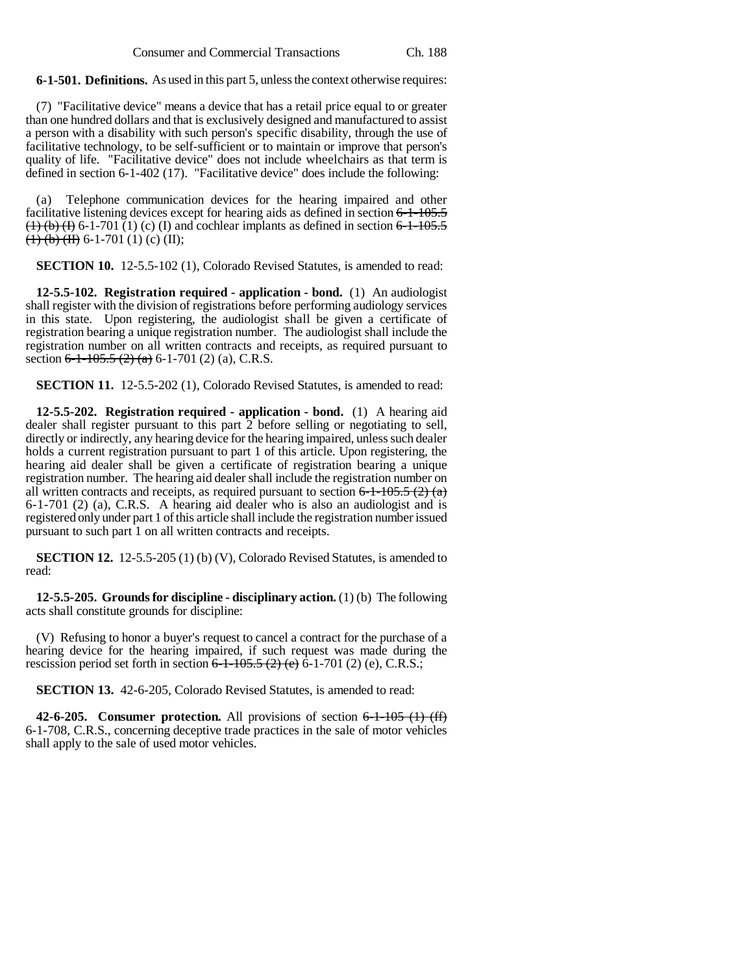**6-1-501. Definitions.** As used in this part 5, unless the context otherwise requires:

(7) "Facilitative device" means a device that has a retail price equal to or greater than one hundred dollars and that is exclusively designed and manufactured to assist a person with a disability with such person's specific disability, through the use of facilitative technology, to be self-sufficient or to maintain or improve that person's quality of life. "Facilitative device" does not include wheelchairs as that term is defined in section 6-1-402 (17). "Facilitative device" does include the following:

(a) Telephone communication devices for the hearing impaired and other facilitative listening devices except for hearing aids as defined in section  $6-1-105.5$  $(1)$  (b) (f) 6-1-701 (1) (c) (I) and cochlear implants as defined in section 6-1-105.5  $$ 

**SECTION 10.** 12-5.5-102 (1), Colorado Revised Statutes, is amended to read:

**12-5.5-102. Registration required - application - bond.** (1) An audiologist shall register with the division of registrations before performing audiology services in this state. Upon registering, the audiologist shall be given a certificate of registration bearing a unique registration number. The audiologist shall include the registration number on all written contracts and receipts, as required pursuant to section  $6-1-105.5$  (2) (a)  $6-1-701$  (2) (a), C.R.S.

**SECTION 11.** 12-5.5-202 (1), Colorado Revised Statutes, is amended to read:

**12-5.5-202. Registration required - application - bond.** (1) A hearing aid dealer shall register pursuant to this part 2 before selling or negotiating to sell, directly or indirectly, any hearing device for the hearing impaired, unless such dealer holds a current registration pursuant to part 1 of this article. Upon registering, the hearing aid dealer shall be given a certificate of registration bearing a unique registration number. The hearing aid dealer shall include the registration number on all written contracts and receipts, as required pursuant to section  $6-1-105.5$  (2) (a) 6-1-701 (2) (a), C.R.S. A hearing aid dealer who is also an audiologist and is registered only under part 1 of this article shall include the registration number issued pursuant to such part 1 on all written contracts and receipts.

**SECTION 12.** 12-5.5-205 (1) (b) (V), Colorado Revised Statutes, is amended to read:

**12-5.5-205. Grounds for discipline - disciplinary action.** (1) (b) The following acts shall constitute grounds for discipline:

(V) Refusing to honor a buyer's request to cancel a contract for the purchase of a hearing device for the hearing impaired, if such request was made during the rescission period set forth in section  $6-1-105.5$  (2) (e)  $\overline{6}$ -1-701 (2) (e), C.R.S.;

**SECTION 13.** 42-6-205, Colorado Revised Statutes, is amended to read:

**42-6-205.** Consumer protection. All provisions of section  $6-1-105$  (1) (ff) 6-1-708, C.R.S., concerning deceptive trade practices in the sale of motor vehicles shall apply to the sale of used motor vehicles.